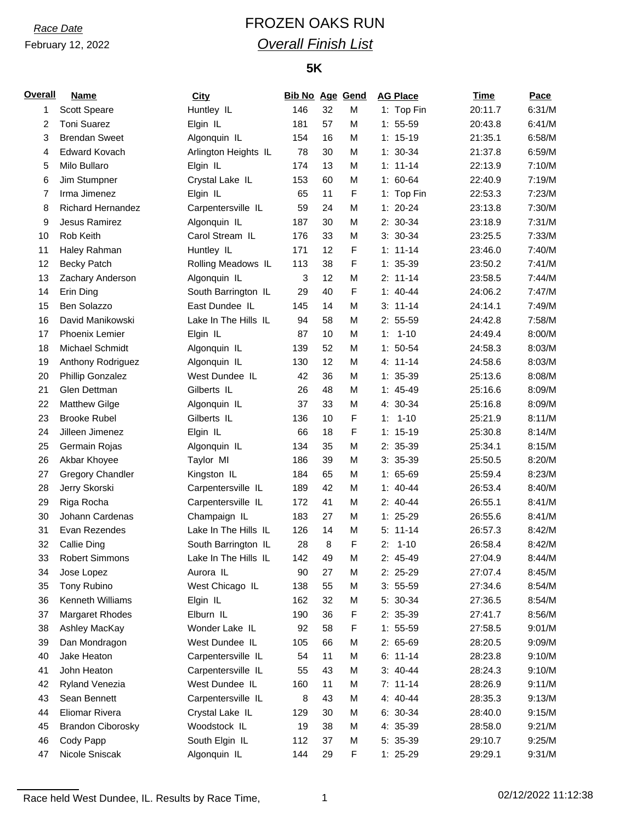# *Race Date* FROZEN OAKS RUN *Overall Finish List*

## **5K**

| <b>Overall</b> | <b>Name</b>              | <b>City</b>          | <b>Bib No Age Gend</b> |    |   | <b>AG Place</b> | Time    | Pace   |
|----------------|--------------------------|----------------------|------------------------|----|---|-----------------|---------|--------|
| 1              | Scott Speare             | Huntley IL           | 146                    | 32 | M | 1: Top Fin      | 20:11.7 | 6:31/M |
| 2              | <b>Toni Suarez</b>       | Elgin IL             | 181                    | 57 | M | $1: 55-59$      | 20:43.8 | 6:41/M |
| 3              | <b>Brendan Sweet</b>     | Algonquin IL         | 154                    | 16 | М | $1: 15-19$      | 21:35.1 | 6:58/M |
| 4              | <b>Edward Kovach</b>     | Arlington Heights IL | 78                     | 30 | M | $1: 30-34$      | 21:37.8 | 6:59/M |
| 5              | Milo Bullaro             | Elgin IL             | 174                    | 13 | M | $1: 11 - 14$    | 22:13.9 | 7:10/M |
| 6              | Jim Stumpner             | Crystal Lake IL      | 153                    | 60 | M | $1: 60-64$      | 22:40.9 | 7:19/M |
| 7              | Irma Jimenez             | Elgin IL             | 65                     | 11 | F | 1: Top Fin      | 22:53.3 | 7:23/M |
| 8              | <b>Richard Hernandez</b> | Carpentersville IL   | 59                     | 24 | M | $1: 20 - 24$    | 23:13.8 | 7:30/M |
| 9              | Jesus Ramirez            | Algonquin IL         | 187                    | 30 | M | 2: 30-34        | 23:18.9 | 7:31/M |
| 10             | Rob Keith                | Carol Stream IL      | 176                    | 33 | M | $3: 30-34$      | 23:25.5 | 7:33/M |
| 11             | Haley Rahman             | Huntley IL           | 171                    | 12 | F | $1: 11 - 14$    | 23:46.0 | 7:40/M |
| 12             | <b>Becky Patch</b>       | Rolling Meadows IL   | 113                    | 38 | F | $1: 35-39$      | 23:50.2 | 7:41/M |
| 13             | Zachary Anderson         | Algonquin IL         | 3                      | 12 | M | $2: 11-14$      | 23:58.5 | 7:44/M |
| 14             | Erin Ding                | South Barrington IL  | 29                     | 40 | F | $1: 40-44$      | 24:06.2 | 7:47/M |
| 15             | Ben Solazzo              | East Dundee IL       | 145                    | 14 | M | $3: 11-14$      | 24:14.1 | 7:49/M |
| 16             | David Manikowski         | Lake In The Hills IL | 94                     | 58 | М | $2: 55-59$      | 24:42.8 | 7:58/M |
| 17             | <b>Phoenix Lemier</b>    | Elgin IL             | 87                     | 10 | М | $1: 1-10$       | 24:49.4 | 8:00/M |
| 18             | Michael Schmidt          | Algonquin IL         | 139                    | 52 | M | $1: 50-54$      | 24:58.3 | 8:03/M |
| 19             | Anthony Rodriguez        | Algonquin IL         | 130                    | 12 | M | $4: 11 - 14$    | 24:58.6 | 8:03/M |
| 20             | Phillip Gonzalez         | West Dundee IL       | 42                     | 36 | М | $1: 35-39$      | 25:13.6 | 8:08/M |
| 21             | Glen Dettman             | Gilberts IL          | 26                     | 48 | М | $1: 45-49$      | 25:16.6 | 8:09/M |
| 22             | <b>Matthew Gilge</b>     | Algonquin IL         | 37                     | 33 | M | 4: 30-34        | 25:16.8 | 8:09/M |
| 23             | <b>Brooke Rubel</b>      | Gilberts IL          | 136                    | 10 | F | $1 - 10$<br>1:  | 25:21.9 | 8:11/M |
| 24             | Jilleen Jimenez          | Elgin IL             | 66                     | 18 | F | $1: 15-19$      | 25:30.8 | 8:14/M |
| 25             | Germain Rojas            | Algonquin IL         | 134                    | 35 | M | 2: 35-39        | 25:34.1 | 8:15/M |
| 26             | Akbar Khoyee             | Taylor MI            | 186                    | 39 | M | $3: 35-39$      | 25:50.5 | 8:20/M |
| 27             | <b>Gregory Chandler</b>  | Kingston IL          | 184                    | 65 | M | $1: 65-69$      | 25:59.4 | 8:23/M |
| 28             | Jerry Skorski            | Carpentersville IL   | 189                    | 42 | M | $1: 40 - 44$    | 26:53.4 | 8:40/M |
| 29             | Riga Rocha               | Carpentersville IL   | 172                    | 41 | M | $2: 40-44$      | 26:55.1 | 8:41/M |
| 30             | Johann Cardenas          | Champaign IL         | 183                    | 27 | M | $1: 25-29$      | 26:55.6 | 8:41/M |
| 31             | Evan Rezendes            | Lake In The Hills IL | 126                    | 14 | M | $5: 11-14$      | 26:57.3 | 8:42/M |
| 32             | Callie Ding              | South Barrington IL  | 28                     | 8  | F | $1 - 10$<br>2:  | 26:58.4 | 8:42/M |
| 33             | <b>Robert Simmons</b>    | Lake In The Hills IL | 142                    | 49 | M | 2: 45-49        | 27:04.9 | 8:44/M |
| 34             | Jose Lopez               | Aurora IL            | 90                     | 27 | M | 2: 25-29        | 27:07.4 | 8:45/M |
| 35             | Tony Rubino              | West Chicago IL      | 138                    | 55 | M | $3: 55-59$      | 27:34.6 | 8:54/M |
| 36             | Kenneth Williams         | Elgin IL             | 162                    | 32 | M | 5: 30-34        | 27:36.5 | 8:54/M |
| 37             | <b>Margaret Rhodes</b>   | Elburn IL            | 190                    | 36 | F | 2: 35-39        | 27:41.7 | 8:56/M |
| 38             | Ashley MacKay            | Wonder Lake IL       | 92                     | 58 | F | $1: 55-59$      | 27:58.5 | 9:01/M |
| 39             | Dan Mondragon            | West Dundee IL       | 105                    | 66 | M | $2:65-69$       | 28:20.5 | 9:09/M |
| 40             | Jake Heaton              | Carpentersville IL   | 54                     | 11 | M | $6: 11-14$      | 28:23.8 | 9:10/M |
| 41             | John Heaton              | Carpentersville IL   | 55                     | 43 | М | $3: 40-44$      | 28:24.3 | 9:10/M |
| 42             | <b>Ryland Venezia</b>    | West Dundee IL       | 160                    | 11 | M | $7: 11-14$      | 28:26.9 | 9:11/M |
| 43             | Sean Bennett             | Carpentersville IL   | 8                      | 43 | M | 4: 40-44        | 28:35.3 | 9:13/M |
| 44             | Eliomar Rivera           | Crystal Lake IL      | 129                    | 30 | M | $6: 30-34$      | 28:40.0 | 9:15/M |
| 45             | <b>Brandon Ciborosky</b> | Woodstock IL         | 19                     | 38 | М | 4: 35-39        | 28:58.0 | 9:21/M |
| 46             | Cody Papp                | South Elgin IL       | 112                    | 37 | M | $5: 35-39$      | 29:10.7 | 9:25/M |
|                | Nicole Sniscak           |                      |                        | 29 |   |                 |         | 9:31/M |
| 47             |                          | Algonquin IL         | 144                    |    | F | $1: 25-29$      | 29:29.1 |        |

Race held West Dundee, IL. Results by Race Time, 1 02/12/2022 11:12:38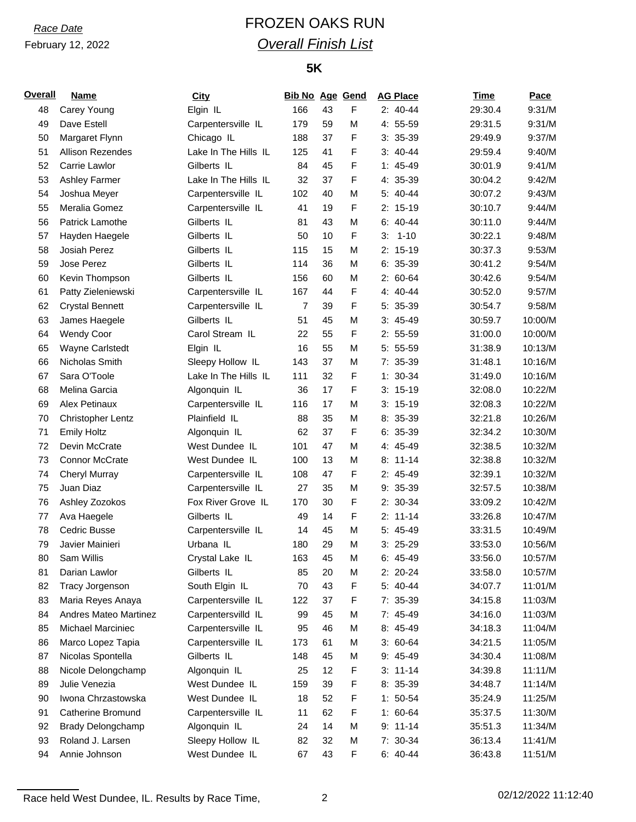# *Race Date* FROZEN OAKS RUN *Overall Finish List*

## **5K**

| <b>Overall</b> | <b>Name</b>                  | City                 | <b>Bib No Age Gend</b> |    |             | <b>AG Place</b> | <b>Time</b> | Pace    |
|----------------|------------------------------|----------------------|------------------------|----|-------------|-----------------|-------------|---------|
| 48             | Carey Young                  | Elgin IL             | 166                    | 43 | F           | $2: 40-44$      | 29:30.4     | 9:31/M  |
| 49             | Dave Estell                  | Carpentersville IL   | 179                    | 59 | M           | 4: 55-59        | 29:31.5     | 9:31/M  |
| 50             | Margaret Flynn               | Chicago IL           | 188                    | 37 | F           | $3: 35-39$      | 29:49.9     | 9:37/M  |
| 51             | Allison Rezendes             | Lake In The Hills IL | 125                    | 41 | F           | $3:40-44$       | 29:59.4     | 9:40/M  |
| 52             | Carrie Lawlor                | Gilberts IL          | 84                     | 45 | F           | $1: 45-49$      | 30:01.9     | 9:41/M  |
| 53             | <b>Ashley Farmer</b>         | Lake In The Hills IL | 32                     | 37 | $\mathsf F$ | 4: 35-39        | 30:04.2     | 9:42/M  |
| 54             | Joshua Meyer                 | Carpentersville IL   | 102                    | 40 | M           | 5: 40-44        | 30:07.2     | 9:43/M  |
| 55             | Meralia Gomez                | Carpentersville IL   | 41                     | 19 | F           | $2: 15-19$      | 30:10.7     | 9:44/M  |
| 56             | Patrick Lamothe              | Gilberts IL          | 81                     | 43 | M           | $6: 40-44$      | 30:11.0     | 9:44/M  |
| 57             | Hayden Haegele               | Gilberts IL          | 50                     | 10 | F           | $1 - 10$<br>3.  | 30:22.1     | 9:48/M  |
| 58             | Josiah Perez                 | Gilberts IL          | 115                    | 15 | M           | $2: 15-19$      | 30:37.3     | 9:53/M  |
| 59             | Jose Perez                   | Gilberts IL          | 114                    | 36 | М           | $6: 35-39$      | 30:41.2     | 9:54/M  |
| 60             | Kevin Thompson               | Gilberts IL          | 156                    | 60 | М           | $2: 60-64$      | 30:42.6     | 9:54/M  |
| 61             | Patty Zieleniewski           | Carpentersville IL   | 167                    | 44 | F           | $4: 40 - 44$    | 30:52.0     | 9:57/M  |
| 62             | <b>Crystal Bennett</b>       | Carpentersville IL   | 7                      | 39 | F           | 5: 35-39        | 30:54.7     | 9:58/M  |
| 63             | James Haegele                | Gilberts IL          | 51                     | 45 | М           | $3: 45-49$      | 30:59.7     | 10:00/M |
| 64             | <b>Wendy Coor</b>            | Carol Stream IL      | 22                     | 55 | F           | $2: 55-59$      | 31:00.0     | 10:00/M |
| 65             | <b>Wayne Carlstedt</b>       | Elgin IL             | 16                     | 55 | M           | 5: 55-59        | 31:38.9     | 10:13/M |
| 66             | Nicholas Smith               | Sleepy Hollow IL     | 143                    | 37 | M           | $7: 35-39$      | 31:48.1     | 10:16/M |
| 67             | Sara O'Toole                 | Lake In The Hills IL | 111                    | 32 | F           | $1: 30-34$      | 31:49.0     | 10:16/M |
| 68             | Melina Garcia                | Algonquin IL         | 36                     | 17 | F           | $3: 15-19$      | 32:08.0     | 10:22/M |
| 69             | Alex Petinaux                | Carpentersville IL   | 116                    | 17 | M           | $3: 15-19$      | 32:08.3     | 10:22/M |
| 70             | <b>Christopher Lentz</b>     | Plainfield IL        | 88                     | 35 | M           | 8: 35-39        | 32:21.8     | 10:26/M |
| 71             | <b>Emily Holtz</b>           | Algonquin IL         | 62                     | 37 | F           | $6: 35-39$      | 32:34.2     | 10:30/M |
| 72             | Devin McCrate                | West Dundee IL       | 101                    | 47 | M           | 4: 45-49        | 32:38.5     | 10:32/M |
| 73             | <b>Connor McCrate</b>        | West Dundee IL       | 100                    | 13 | M           | $8: 11-14$      | 32:38.8     | 10:32/M |
| 74             | <b>Cheryl Murray</b>         | Carpentersville IL   | 108                    | 47 | $\mathsf F$ | 2: 45-49        | 32:39.1     | 10:32/M |
| 75             | Juan Diaz                    | Carpentersville IL   | 27                     | 35 | М           | $9: 35-39$      | 32:57.5     | 10:38/M |
| 76             | Ashley Zozokos               | Fox River Grove IL   | 170                    | 30 | F           | 2: 30-34        | 33:09.2     | 10:42/M |
| 77             | Ava Haegele                  | Gilberts IL          | 49                     | 14 | F           | $2: 11-14$      | 33:26.8     | 10:47/M |
| 78             | Cedric Busse                 | Carpentersville IL   | 14                     | 45 | M           | 5: 45-49        | 33:31.5     | 10:49/M |
| 79             | Javier Mainieri              | Urbana IL            | 180                    | 29 | M           | $3:25-29$       | 33:53.0     | 10:56/M |
| 80             | Sam Willis                   | Crystal Lake IL      | 163                    | 45 | М           | $6: 45-49$      | 33:56.0     | 10:57/M |
| 81             | Darian Lawlor                | Gilberts IL          | 85                     | 20 | М           | 2: 20-24        | 33:58.0     | 10:57/M |
| 82             | Tracy Jorgenson              | South Elgin IL       | 70                     | 43 | F           | 5: 40-44        | 34:07.7     | 11:01/M |
| 83             | Maria Reyes Anaya            | Carpentersville IL   | 122                    | 37 | F           | 7: 35-39        | 34:15.8     | 11:03/M |
| 84             | <b>Andres Mateo Martinez</b> | Carpentersvilld IL   | 99                     | 45 | М           | 7: 45-49        | 34:16.0     | 11:03/M |
| 85             | Michael Marciniec            | Carpentersville IL   | 95                     | 46 | M           | 8: 45-49        | 34:18.3     | 11:04/M |
| 86             | Marco Lopez Tapia            | Carpentersville IL   | 173                    | 61 | М           | $3: 60-64$      | 34:21.5     | 11:05/M |
| 87             | Nicolas Spontella            | Gilberts IL          | 148                    | 45 | М           | 9: 45-49        | 34:30.4     | 11:08/M |
| 88             | Nicole Delongchamp           | Algonquin IL         | 25                     | 12 | F           | $3: 11-14$      | 34:39.8     | 11:11/M |
| 89             | Julie Venezia                | West Dundee IL       | 159                    | 39 | F           | $8:35-39$       | 34:48.7     | 11:14/M |
| 90             | Iwona Chrzastowska           | West Dundee IL       | 18                     | 52 | F           | $1: 50-54$      | 35:24.9     | 11:25/M |
| 91             | Catherine Bromund            | Carpentersville IL   | 11                     | 62 | F           | $1: 60-64$      | 35:37.5     | 11:30/M |
| 92             | Brady Delongchamp            | Algonquin IL         | 24                     | 14 | М           | $9: 11-14$      | 35:51.3     | 11:34/M |
| 93             | Roland J. Larsen             | Sleepy Hollow IL     | 82                     | 32 | М           | 7: 30-34        | 36:13.4     | 11:41/M |
| 94             | Annie Johnson                | West Dundee IL       | 67                     | 43 | F           | $6: 40-44$      | 36:43.8     | 11:51/M |
|                |                              |                      |                        |    |             |                 |             |         |

Race held West Dundee, IL. Results by Race Time, 2 02/12/2022 11:12:40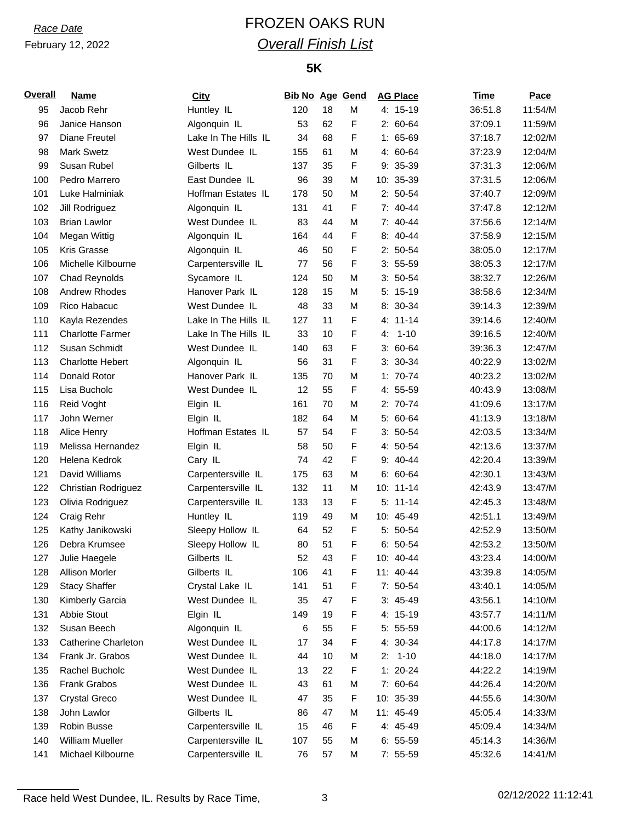# *Race Date* FROZEN OAKS RUN *Overall Finish List*

## **5K**

| <b>Overall</b> | <b>Name</b>                | City                 | <b>Bib No Age Gend</b> |    |   | <b>AG Place</b> | Time    | Pace    |
|----------------|----------------------------|----------------------|------------------------|----|---|-----------------|---------|---------|
| 95             | Jacob Rehr                 | Huntley IL           | 120                    | 18 | м | $4: 15-19$      | 36:51.8 | 11:54/M |
| 96             | Janice Hanson              | Algonquin IL         | 53                     | 62 | F | $2: 60-64$      | 37:09.1 | 11:59/M |
| 97             | Diane Freutel              | Lake In The Hills IL | 34                     | 68 | F | $1: 65-69$      | 37:18.7 | 12:02/M |
| 98             | <b>Mark Swetz</b>          | West Dundee IL       | 155                    | 61 | M | 4: 60-64        | 37:23.9 | 12:04/M |
| 99             | Susan Rubel                | Gilberts IL          | 137                    | 35 | F | 9: 35-39        | 37:31.3 | 12:06/M |
| 100            | Pedro Marrero              | East Dundee IL       | 96                     | 39 | M | 10: 35-39       | 37:31.5 | 12:06/M |
| 101            | Luke Halminiak             | Hoffman Estates IL   | 178                    | 50 | м | $2: 50-54$      | 37:40.7 | 12:09/M |
| 102            | Jill Rodriguez             | Algonquin IL         | 131                    | 41 | F | $7:40-44$       | 37:47.8 | 12:12/M |
| 103            | <b>Brian Lawlor</b>        | West Dundee IL       | 83                     | 44 | M | $7: 40-44$      | 37:56.6 | 12:14/M |
| 104            | Megan Wittig               | Algonquin IL         | 164                    | 44 | F | 8: 40-44        | 37:58.9 | 12:15/M |
| 105            | <b>Kris Grasse</b>         | Algonquin IL         | 46                     | 50 | F | $2: 50-54$      | 38:05.0 | 12:17/M |
| 106            | Michelle Kilbourne         | Carpentersville IL   | 77                     | 56 | F | $3: 55-59$      | 38:05.3 | 12:17/M |
| 107            | Chad Reynolds              | Sycamore IL          | 124                    | 50 | M | $3: 50-54$      | 38:32.7 | 12:26/M |
| 108            | <b>Andrew Rhodes</b>       | Hanover Park IL      | 128                    | 15 | M | $5: 15-19$      | 38:58.6 | 12:34/M |
| 109            | Rico Habacuc               | West Dundee IL       | 48                     | 33 | м | 8: 30-34        | 39:14.3 | 12:39/M |
| 110            | Kayla Rezendes             | Lake In The Hills IL | 127                    | 11 | F | 4: 11-14        | 39:14.6 | 12:40/M |
| 111            | <b>Charlotte Farmer</b>    | Lake In The Hills IL | 33                     | 10 | F | $4: 1 - 10$     | 39:16.5 | 12:40/M |
| 112            | Susan Schmidt              | West Dundee IL       | 140                    | 63 | F | $3: 60-64$      | 39:36.3 | 12:47/M |
| 113            | <b>Charlotte Hebert</b>    | Algonquin IL         | 56                     | 31 | F | $3: 30-34$      | 40:22.9 | 13:02/M |
| 114            | Donald Rotor               | Hanover Park IL      | 135                    | 70 | M | $1: 70-74$      | 40:23.2 | 13:02/M |
| 115            | Lisa Bucholc               | West Dundee IL       | 12                     | 55 | F | 4: 55-59        | 40:43.9 | 13:08/M |
| 116            | Reid Voght                 | Elgin IL             | 161                    | 70 | M | $2: 70-74$      | 41:09.6 | 13:17/M |
| 117            | John Werner                | Elgin IL             | 182                    | 64 | м | $5:60-64$       | 41:13.9 | 13:18/M |
| 118            | Alice Henry                | Hoffman Estates IL   | 57                     | 54 | F | $3: 50-54$      | 42:03.5 | 13:34/M |
| 119            | Melissa Hernandez          | Elgin IL             | 58                     | 50 | F | 4: 50-54        | 42:13.6 | 13:37/M |
| 120            | Helena Kedrok              | Cary IL              | 74                     | 42 | F | $9: 40 - 44$    | 42:20.4 | 13:39/M |
| 121            | David Williams             | Carpentersville IL   | 175                    | 63 | M | $6: 60-64$      | 42:30.1 | 13:43/M |
| 122            | Christian Rodriguez        | Carpentersville IL   | 132                    | 11 | M | 10: 11-14       | 42:43.9 | 13:47/M |
| 123            | Olivia Rodriguez           | Carpentersville IL   | 133                    | 13 | F | $5: 11-14$      | 42:45.3 | 13:48/M |
| 124            | Craig Rehr                 | Huntley IL           | 119                    | 49 | M | 10: 45-49       | 42:51.1 | 13:49/M |
| 125            | Kathy Janikowski           | Sleepy Hollow IL     | 64                     | 52 | F | 5: 50-54        | 42:52.9 | 13:50/M |
| 126            | Debra Krumsee              | Sleepy Hollow IL     | 80                     | 51 | F | $6: 50-54$      | 42:53.2 | 13:50/M |
| 127            | Julie Haegele              | Gilberts IL          | 52                     | 43 | F | $10: 40 - 44$   | 43:23.4 | 14:00/M |
| 128            | Allison Morler             | Gilberts IL          | 106                    | 41 | F | 11: 40-44       | 43:39.8 | 14:05/M |
| 129            | <b>Stacy Shaffer</b>       | Crystal Lake IL      | 141                    | 51 | F | 7: 50-54        | 43:40.1 | 14:05/M |
| 130            | Kimberly Garcia            | West Dundee IL       | 35                     | 47 | F | $3:45-49$       | 43:56.1 | 14:10/M |
| 131            | Abbie Stout                | Elgin IL             | 149                    | 19 | F | 4: 15-19        | 43:57.7 | 14:11/M |
| 132            | Susan Beech                | Algonquin IL         | 6                      | 55 | F | 5: 55-59        | 44:00.6 | 14:12/M |
| 133            | <b>Catherine Charleton</b> | West Dundee IL       | 17                     | 34 | F | 4: 30-34        | 44:17.8 | 14:17/M |
| 134            | Frank Jr. Grabos           | West Dundee IL       | 44                     | 10 | M | $2: 1-10$       | 44:18.0 | 14:17/M |
| 135            | Rachel Bucholc             | West Dundee IL       | 13                     | 22 | F | $1: 20 - 24$    | 44:22.2 | 14:19/M |
| 136            | <b>Frank Grabos</b>        | West Dundee IL       | 43                     | 61 | М | 7: 60-64        | 44:26.4 | 14:20/M |
| 137            | <b>Crystal Greco</b>       | West Dundee IL       | 47                     | 35 | F | 10: 35-39       | 44:55.6 | 14:30/M |
| 138            | John Lawlor                | Gilberts IL          | 86                     | 47 | М | 11: 45-49       | 45:05.4 | 14:33/M |
| 139            | Robin Busse                | Carpentersville IL   | 15                     | 46 | F | 4: 45-49        | 45:09.4 | 14:34/M |
| 140            | <b>William Mueller</b>     | Carpentersville IL   | 107                    | 55 | M | $6: 55-59$      | 45:14.3 | 14:36/M |
| 141            | Michael Kilbourne          | Carpentersville IL   | 76                     | 57 | M | 7: 55-59        | 45:32.6 | 14:41/M |
|                |                            |                      |                        |    |   |                 |         |         |

Race held West Dundee, IL. Results by Race Time,  $\frac{3}{2}$  and  $\frac{2}{12}$  02/12/2022 11:12:41